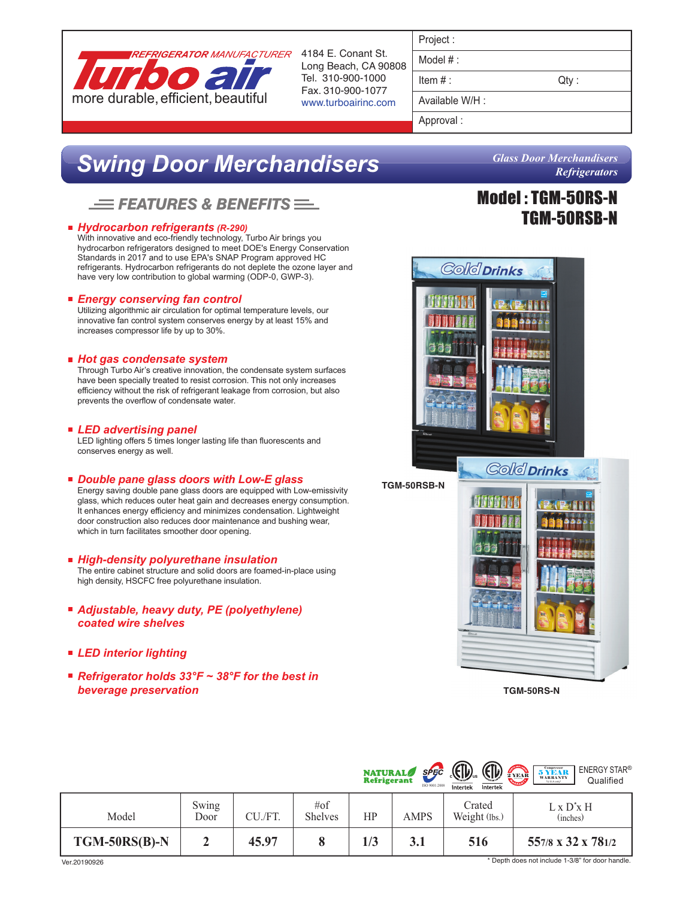

Long Beach, CA 90808 Tel. 310-900-1000 Fax. 310-900-1077 www.turboairinc.com

| Project |  |
|---------|--|

Model # :

 $Item #:$  Qty :

Available W/H :

Approval :

# *Swing Door Merchandisers*

## $\equiv$  Features & Benefits  $\equiv$

### *Hydrocarbon refrigerants (R-290)*

With innovative and eco-friendly technology, Turbo Air brings you hydrocarbon refrigerators designed to meet DOE's Energy Conservation Standards in 2017 and to use EPA's SNAP Program approved HC refrigerants. Hydrocarbon refrigerants do not deplete the ozone layer and have very low contribution to global warming (ODP-0, GWP-3).

### *Energy conserving fan control*

Utilizing algorithmic air circulation for optimal temperature levels, our innovative fan control system conserves energy by at least 15% and increases compressor life by up to 30%.

### *Hot gas condensate system*

Through Turbo Air's creative innovation, the condensate system surfaces have been specially treated to resist corrosion. This not only increases efficiency without the risk of refrigerant leakage from corrosion, but also prevents the overflow of condensate water.

### *LED advertising panel*

LED lighting offers 5 times longer lasting life than fluorescents and conserves energy as well.

### *Double pane glass doors with Low-E glass*

Energy saving double pane glass doors are equipped with Low-emissivity glass, which reduces outer heat gain and decreases energy consumption. It enhances energy efficiency and minimizes condensation. Lightweight door construction also reduces door maintenance and bushing wear, which in turn facilitates smoother door opening.

- *High-density polyurethane insulation* The entire cabinet structure and solid doors are foamed-in-place using high density, HSCFC free polyurethane insulation.
- *Adjustable, heavy duty, PE (polyethylene) coated wire shelves*
- *LED interior lighting*
- *Refrigerator holds 33°F ~ 38°F for the best in beverage preservation*



## Model : TGM-50RS-N TGM-50RSB-N



**TGM-50RS-N**

|                 |               |         |                           | <b>NATURAL</b> | SPEC<br>ISO 9001:2008 | <b>CD</b><br>Intertek<br>Intertek | <b>ENERGY STAR®</b><br>$\underset{{\scriptscriptstyle (\mathbb{L}\mathbb{S}\,\mathrm{Acoty})}}{\textbf{5} \hspace{0.5mm} \mathbf{Y} \hspace{0.5mm} \mathbf{E}\hspace{0.5mm} \mathbf{AR}}$<br>2 YEAR<br>Qualified |
|-----------------|---------------|---------|---------------------------|----------------|-----------------------|-----------------------------------|------------------------------------------------------------------------------------------------------------------------------------------------------------------------------------------------------------------|
| Model           | Swing<br>Door | CU./FT. | $\#$ of<br><b>Shelves</b> | HP             | <b>AMPS</b>           | Crated<br>Weight (lbs.)           | $L \times D^* \times H$<br>(inches)                                                                                                                                                                              |
| $TGM-50RS(B)-N$ | 车             | 45.97   |                           | 1/3            | 3.1                   | 516                               | 557/8 x 32 x 781/2                                                                                                                                                                                               |

\* Depth does not include 1-3/8" for door handle.